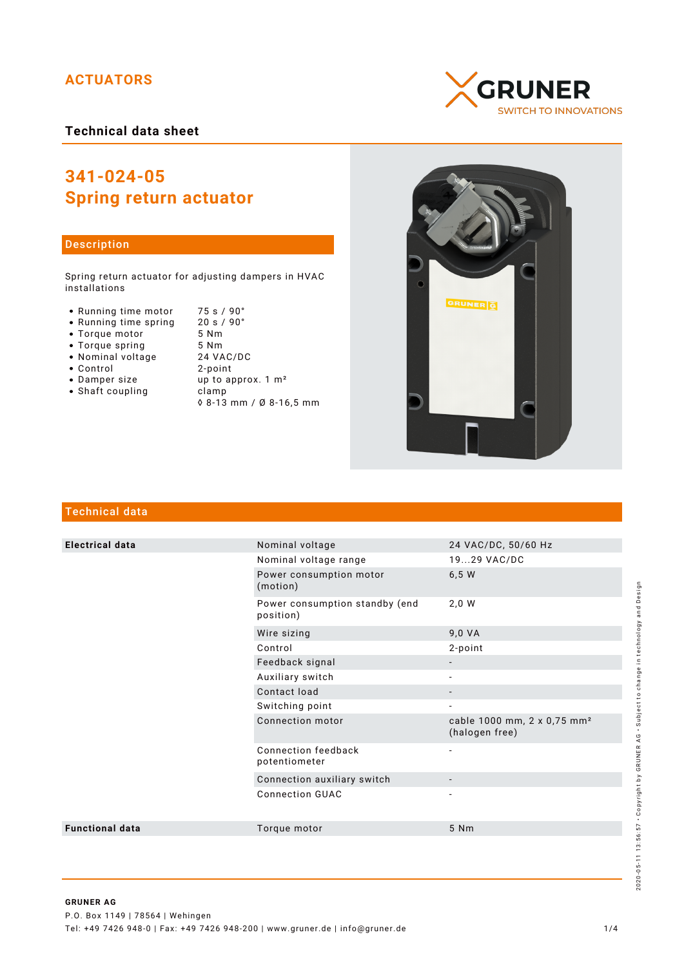# **ACTUATORS**

## **Technical data sheet**

# **341-024-05 Spring return actuator**

## Description

Spring return actuator for adjusting dampers in HVAC installations

- Running time motor 75 s / 90°<br>• Running time spring 20 s / 90°
- Running time spring 20 s /<br>• Torque motor 5 Nm
- Torque motor 5 Nm<br>• Torque spring 5 Nm
- 
- Nominal voltage<br>• Control
- 
- 
- Shaft coupling between the clamp
- 
- Torque spring 5 Nm 2-point • Damper size up to approx. 1 m<sup>2</sup> ◊ 8-13 mm / Ø 8-16,5 mm





# Technical data

| <b>Electrical data</b> | Nominal voltage                             | 24 VAC/DC, 50/60 Hz                                       |
|------------------------|---------------------------------------------|-----------------------------------------------------------|
|                        | Nominal voltage range                       | 1929 VAC/DC                                               |
|                        | Power consumption motor<br>(motion)         | 6,5 W                                                     |
|                        | Power consumption standby (end<br>position) | 2,0 W                                                     |
|                        | Wire sizing                                 | 9,0 VA                                                    |
|                        | Control                                     | 2-point                                                   |
|                        | Feedback signal                             |                                                           |
|                        | Auxiliary switch                            |                                                           |
|                        | Contact load                                | $\overline{\phantom{a}}$                                  |
|                        | Switching point                             | $\overline{\phantom{a}}$                                  |
|                        | Connection motor                            | cable 1000 mm, 2 x 0,75 mm <sup>2</sup><br>(halogen free) |
|                        | Connection feedback<br>potentiometer        | $\overline{\phantom{a}}$                                  |
|                        | Connection auxiliary switch                 |                                                           |
|                        | <b>Connection GUAC</b>                      |                                                           |
| <b>Functional data</b> | Torque motor                                | 5 Nm                                                      |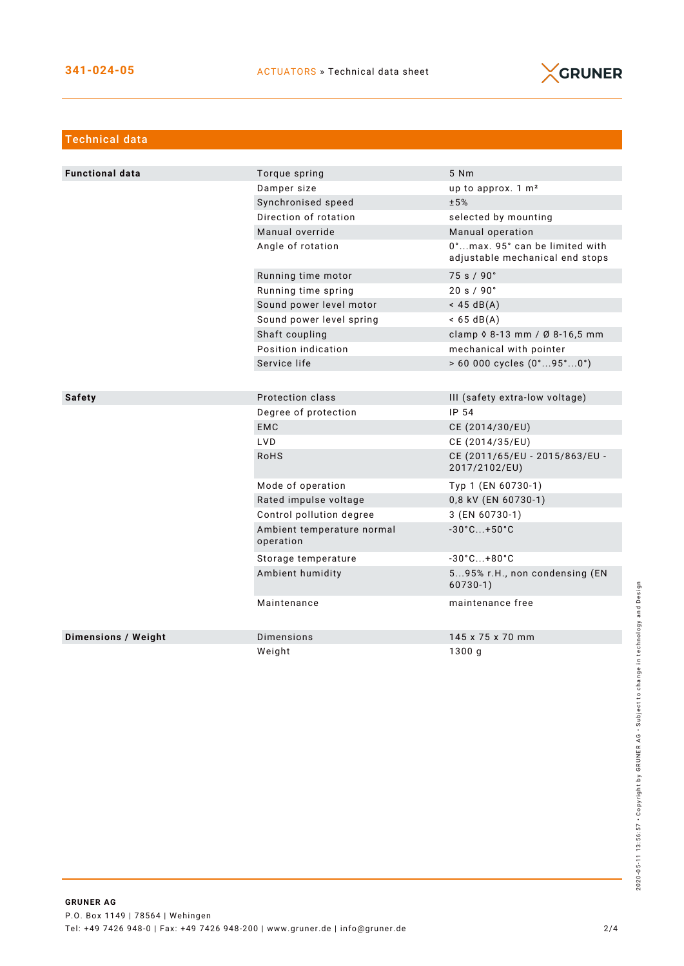

| <b>Technical data</b>      |                                         |                                                                   |
|----------------------------|-----------------------------------------|-------------------------------------------------------------------|
|                            |                                         |                                                                   |
| <b>Functional data</b>     | Torque spring                           | 5 Nm                                                              |
|                            | Damper size                             | up to approx. 1 m <sup>2</sup>                                    |
|                            | Synchronised speed                      | ±5%                                                               |
|                            | Direction of rotation                   | selected by mounting                                              |
|                            | Manual override                         | Manual operation                                                  |
|                            | Angle of rotation                       | 0°max. 95° can be limited with<br>adjustable mechanical end stops |
|                            | Running time motor                      | 75 s / 90°                                                        |
|                            | Running time spring                     | 20 s / 90°                                                        |
|                            | Sound power level motor                 | $<$ 45 dB(A)                                                      |
|                            | Sound power level spring                | $< 65 \text{ dB(A)}$                                              |
|                            | Shaft coupling                          | clamp $0.8 - 13$ mm / Ø 8-16,5 mm                                 |
|                            | Position indication                     | mechanical with pointer                                           |
|                            | Service life                            | $> 60000$ cycles $(0^{\circ}95^{\circ}0^{\circ})$                 |
|                            |                                         |                                                                   |
| <b>Safety</b>              | Protection class                        | III (safety extra-low voltage)                                    |
|                            | Degree of protection                    | IP 54                                                             |
|                            | <b>EMC</b>                              | CE (2014/30/EU)                                                   |
|                            | LVD                                     | CE (2014/35/EU)                                                   |
|                            | <b>RoHS</b>                             | CE (2011/65/EU - 2015/863/EU -<br>2017/2102/EU)                   |
|                            | Mode of operation                       | Typ 1 (EN 60730-1)                                                |
|                            | Rated impulse voltage                   | 0,8 kV (EN 60730-1)                                               |
|                            | Control pollution degree                | 3 (EN 60730-1)                                                    |
|                            | Ambient temperature normal<br>operation | $-30^{\circ}$ C +50 $^{\circ}$ C                                  |
|                            | Storage temperature                     | $-30^{\circ}$ C +80 $^{\circ}$ C                                  |
|                            | Ambient humidity                        | 595% r.H., non condensing (EN<br>$60730-1)$                       |
|                            | Maintenance                             | maintenance free                                                  |
| <b>Dimensions / Weight</b> | Dimensions                              | 145 x 75 x 70 mm                                                  |
|                            | Weight                                  | 1300g                                                             |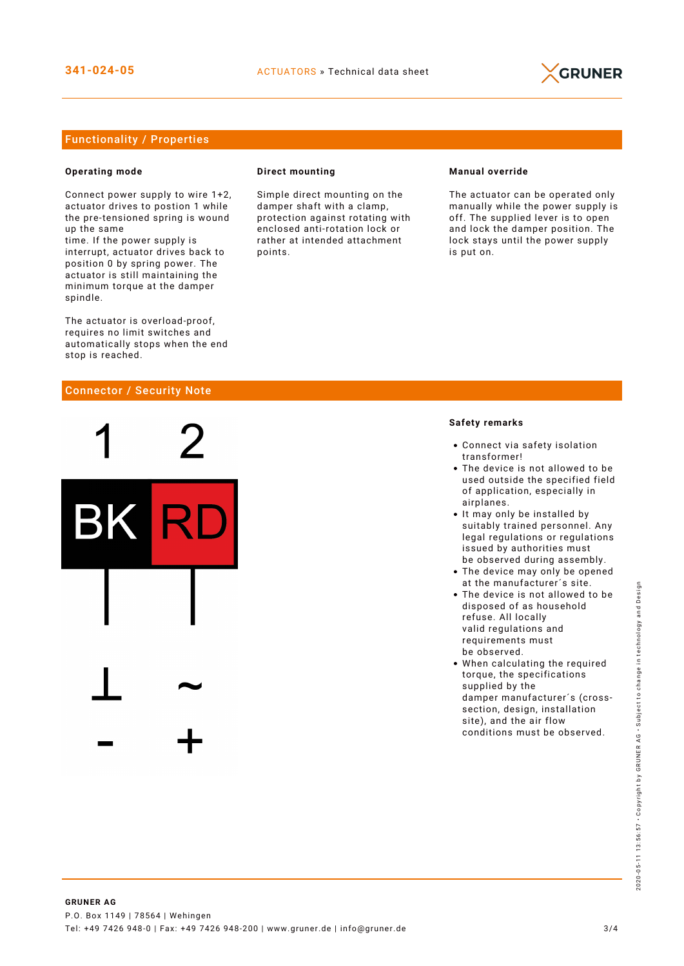

### Functionality / Properties

#### **Operating mode**

Connect power supply to wire 1+2, actuator drives to postion 1 while the pre-tensioned spring is wound up the same

time. If the power supply is interrupt, actuator drives back to position 0 by spring power. The actuator is still maintaining the minimum torque at the damper spindle.

The actuator is overload-proof, requires no limit switches and automatically stops when the end stop is reached.

#### Connector / Security Note



#### **Direct mounting**

Simple direct mounting on the damper shaft with a clamp, protection against rotating with enclosed anti-rotation lock or rather at intended attachment points.

#### **Manual override**

The actuator can be operated only manually while the power supply is off. The supplied lever is to open and lock the damper position. The lock stays until the power supply is put on.

#### **Safety remarks**

- Connect via safety isolation transformer!
- The device is not allowed to be used outside the specified field of application, especially in airplanes.
- It may only be installed by suitably trained personnel. Any legal regulations or regulations issued by authorities must be observed during assembly.
- The device may only be opened at the manufacturer´s site.
- The device is not allowed to be disposed of as household refuse. All locally valid regulations and requirements must be observed.
- When calculating the required torque, the specifications supplied by the damper manufacturer´s (crosssection, design, installation site), and the air flow conditions must be observed.